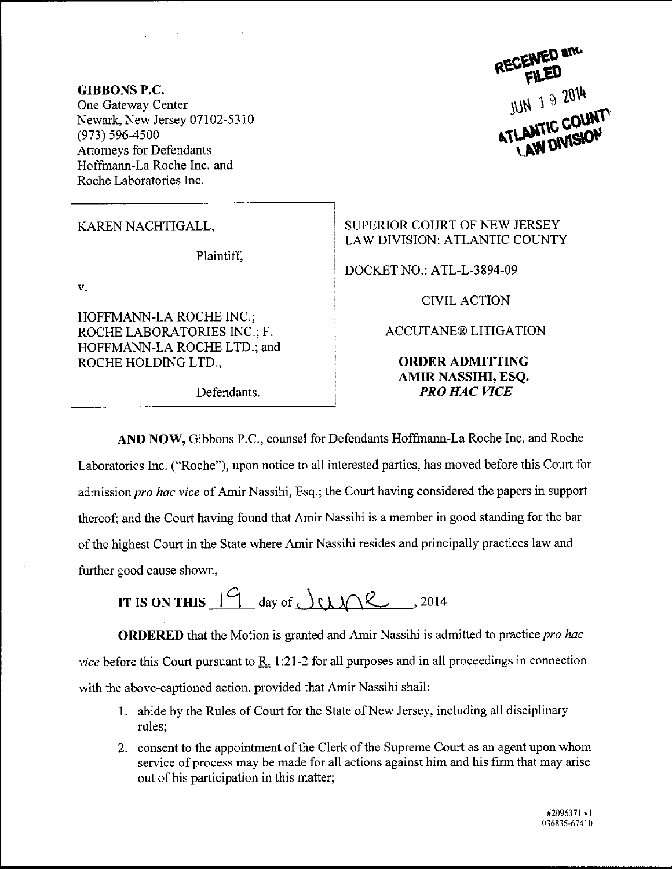GIBBONS P.C, One Gateway Center Newark, New Jersey 07102-5310 (973) 596-4500 Attomeys for Defendants Hoffmann-La Roche Inc. and Roche Laboratories Inc.

Plaintiff,

V.

HOFFMANN-LA ROCHE INC.; ROCHE LABORATORIES INC.; F. HOFFMANN-LA ROCHE LTD.; and ROCHE HOLDING LTD.,

Defendants.

 $JUN$  19  $2014$ ATLANTIC COUNT

KAREN NACHTIGALL, SUPERIOR COURT OF NEW JERSEY LAW DIVISION: ATLANTIC COUNTY

DOCKET NO.: ATL-L-3894-09

CIVIL ACTION

ACCUTANE@ LITIGATION

ORDERADMITTING AMIR NASSIHI, ESQ. **PRO HAC VICE** 

AND NOW, Gibbons P.C., counsel for Defendants Hoffmann-La Roche Inc. and Roche Laboratories Inc. ("Roche"), upon notice to all interested parties, has moved before this Court for admission pro hac vice of Amir Nassihi, Esq.; the Court having considered the papers in support thereof; and the Court having found that Amir Nassihi is a member in good standing for the bar of the highest Court in the State where Amir Nassihi resides and principally practices law and further good cause shown,

IT IS ON THIS  $19$  day of  $\sqrt{22}$ , 2014

ORDERED that the Motion is granted and Amir Nassihi is admitted to practice pro hac vice before this Court pursuant to  $\underline{R}$ . 1:21-2 for all purposes and in all proceedings in connection with the above-captioned action, provided that Amir Nassihi shall:

- 1. abide by the Rules of Court for the State of New Jersey, including all disciplinary rules;
- <sup>2</sup>. consent to the appointrnent of the Clerk of the Supreme Court as an agent upon whom service of process may be made for all actions against him and his firm that may arise out of his participation in this matter;